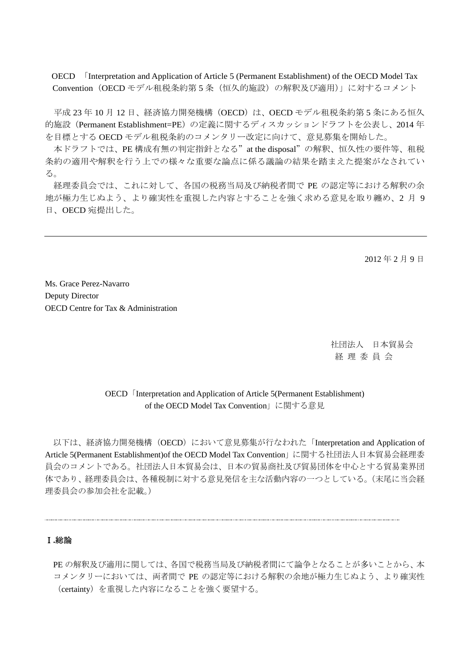OECD 「Interpretation and Application of Article 5 (Permanent Establishment) of the OECD Model Tax Convention(OECD モデル租税条約第 5 条(恒久的施設)の解釈及び適用)」に対するコメント

平成 23年10月12日、経済協力開発機構 (OECD)は、OECD モデル租税条約第5条にある恒久 的施設(Permanent Establishment=PE)の定義に関するディスカッションドラフトを公表し、2014 年 を目標とする OECD モデル租税条約のコメンタリー改定に向けて、意見募集を開始した。

本ドラフトでは、PE 構成有無の判定指針となる"at the disposal"の解釈、恒久性の要件等、租税 条約の適用や解釈を行う上での様々な重要な論点に係る議論の結果を踏まえた提案がなされてい る。

経理委員会では、これに対して、各国の税務当局及び納税者間で PE の認定等における解釈の余 地が極力生じぬよう、より確実性を重視した内容とすることを強く求める意見を取り纏め、2 月 9 日、OECD 宛提出した。

2012 年 2 月 9 日

Ms. Grace Perez-Navarro Deputy Director OECD Centre for Tax & Administration

> 社団法人 日本貿易会 経 理 委 員 会

## OECD **Interpretation and Application of Article 5(Permanent Establishment)** of the OECD Model Tax Convention」に関する意見

以下は、経済協力開発機構(OECD)において意見募集が行なわれた「Interpretation and Application of Article 5(Permanent Establishment)of the OECD Model Tax Convention」に関する社団法人日本貿易会経理委 員会のコメントである。社団法人日本貿易会は、日本の貿易商社及び貿易団体を中心とする貿易業界団 体であり、経理委員会は、各種税制に対する意見発信を主な活動内容の一つとしている。(末尾に当会経 理委員会の参加会社を記載。)

#### Ⅰ**.**総論

PE の解釈及び適用に関しては、各国で税務当局及び納税者間にて論争となることが多いことから、本 コメンタリーにおいては、両者間で PE の認定等における解釈の余地が極力生じぬよう、より確実性 (certainty)を重視した内容になることを強く要望する。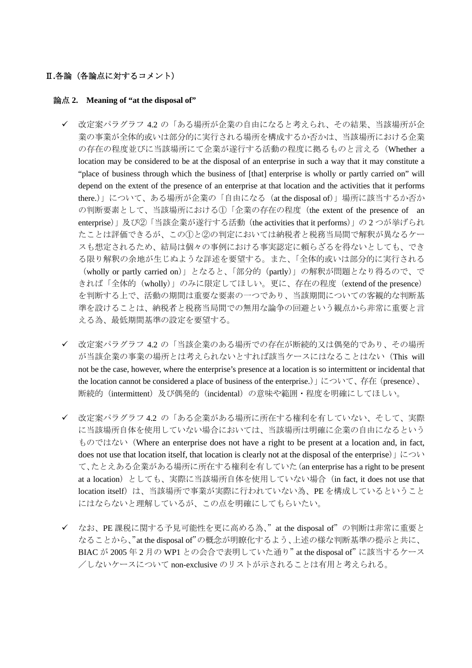### Ⅱ**.**各論(各論点に対するコメント)

#### 論点 **2. Meaning of "at the disposal of"**

- 改定案パラグラフ 4.2 の「ある場所が企業の自由になると考えられ、その結果、当該場所が企 業の事業が全体的或いは部分的に実行される場所を構成するか否かは、当該場所における企業 の存在の程度並びに当該場所にて企業が遂行する活動の程度に拠るものと言える(Whether a location may be considered to be at the disposal of an enterprise in such a way that it may constitute a "place of business through which the business of [that] enterprise is wholly or partly carried on" will depend on the extent of the presence of an enterprise at that location and the activities that it performs there.)」について、ある場所が企業の「自由になる (at the disposal of)」場所に該当するか否か の判断要素として、当該場所における①「企業の存在の程度(the extent of the presence of an enterprise)」及び②「当該企業が遂行する活動(the activities that it performs)」の 2 つが挙げられ たことは評価できるが、この①と②の判定においては納税者と税務当局間で解釈が異なるケー スも想定されるため、結局は個々の事例における事実認定に頼らざるを得ないとしても、でき る限り解釈の余地が生じぬような詳述を要望する。また、「全体的或いは部分的に実行される (wholly or partly carried on)」となると、「部分的(partly)」の解釈が問題となり得るので、で きれば「全体的(wholly)」のみに限定してほしい。更に、存在の程度(extend of the presence) を判断する上で、活動の期間は重要な要素の一つであり、当該期間についての客観的な判断基 準を設けることは、納税者と税務当局間での無用な論争の回避という観点から非常に重要と言 える為、最低期間基準の設定を要望する。
- ✔ 改定案パラグラフ 4.2 の「当該企業のある場所での存在が断続的又は偶発的であり、その場所 が当該企業の事業の場所とは考えられないとすれば該当ケースにはなることはない(This will not be the case, however, where the enterprise's presence at a location is so intermittent or incidental that the location cannot be considered a place of business of the enterprise.)  $\downarrow$  について、存在 (presence)、 断続的(intermittent)及び偶発的(incidental)の意味や範囲・程度を明確にしてほしい。
- ✔ 改定案パラグラフ 4.2 の「ある企業がある場所に所在する権利を有していない、そして、実際 に当該場所自体を使用していない場合においては、当該場所は明確に企業の自由になるという ものではない(Where an enterprise does not have a right to be present at a location and, in fact, does not use that location itself, that location is clearly not at the disposal of the enterprise)」につい て、たとえある企業がある場所に所在する権利を有していた(an enterprise has a right to be present at a location) としても、実際に当該場所自体を使用していない場合 (in fact, it does not use that location itself) は、当該場所で事業が実際に行われていない為、PE を構成しているということ にはならないと理解しているが、この点を明確にしてもらいたい。
- ✔ なお、PE 課税に関する予見可能性を更に高める為、"at the disposal of"の判断は非常に重要と なることから、"at the disposal of"の概念が明瞭化するよう、上述の様な判断基準の提示と共に、 BIAC が 2005 年 2 月の WP1 との会合で表明していた通り"at the disposal of"に該当するケース /しないケースについて non-exclusive のリストが示されることは有用と考えられる。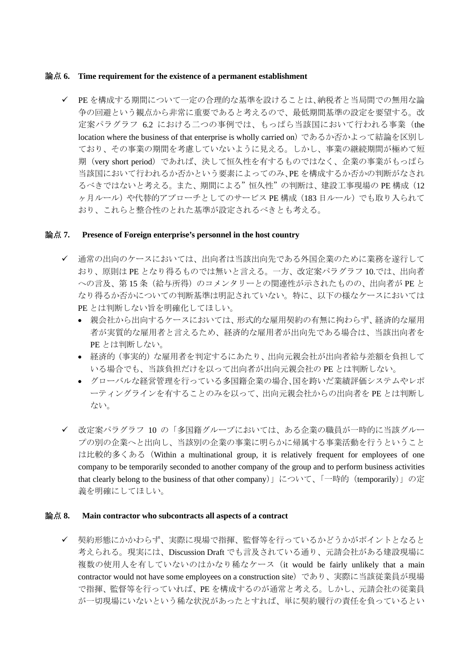#### 論点 **6. Time requirement for the existence of a permanent establishment**

9 PE を構成する期間について一定の合理的な基準を設けることは、納税者と当局間での無用な論 争の回避という観点から非常に重要であると考えるので、最低期間基準の設定を要望する。改 定案パラグラフ 6.2 における二つの事例では、もっぱら当該国において行われる事業(the location where the business of that enterprise is wholly carried on)であるか否かよって結論を区別し ており、その事業の期間を考慮していないように見える。しかし、事業の継続期間が極めて短 期(very short period)であれば、決して恒久性を有するものではなく、企業の事業がもっぱら 当該国において行われるか否かという要素によってのみ、PE を構成するか否かの判断がなされ るべきではないと考える。また、期間による"恒久性"の判断は、建設工事現場の PE 構成(12 ヶ月ルール)や代替的アプローチとしてのサービス PE 構成 (183 日ルール)でも取り入られて おり、これらと整合性のとれた基準が設定されるべきとも考える。

### 論点 **7. Presence of Foreign enterprise's personnel in the host country**

- ✔ 通常の出向のケースにおいては、出向者は当該出向先である外国企業のために業務を遂行して おり、原則は PE となり得るものでは無いと言える。一方、改定案パラグラフ 10.では、出向者 への言及、第 15 条(給与所得)のコメンタリーとの関連性が示されたものの、出向者が PE と なり得るか否かについての判断基準は明記されていない。特に、以下の様なケースにおいては PE とは判断しない旨を明確化してほしい。
	- 親会社から出向するケースにおいては、形式的な雇用契約の有無に拘わらず、経済的な雇用 者が実質的な雇用者と言えるため、経済的な雇用者が出向先である場合は、当該出向者を PE とは判断しない。
	- 経済的(事実的)な雇用者を判定するにあたり、出向元親会社が出向者給与差額を負担して いる場合でも、当該負担だけを以って出向者が出向元親会社の PE とは判断しない。
	- グローバルな経営管理を行っている多国籍企業の場合、国を跨いだ業績評価システムやレポ ーティングラインを有することのみを以って、出向元親会社からの出向者を PE とは判断し ない。
- ✔ 改定案パラグラフ 10 の「多国籍グループにおいては、ある企業の職員が一時的に当該グルー プの別の企業へと出向し、当該別の企業の事業に明らかに帰属する事業活動を行うということ は比較的多くある (Within a multinational group, it is relatively frequent for employees of one company to be temporarily seconded to another company of the group and to perform business activities that clearly belong to the business of that other company)」について、「一時的(temporarily)」の定 義を明確にしてほしい。

### 論点 **8. Main contractor who subcontracts all aspects of a contract**

✔ 契約形態にかかわらず、実際に現場で指揮、監督等を行っているかどうかがポイントとなると 考えられる。現実には、Discussion Draft でも言及されている通り、元請会社がある建設現場に 複数の使用人を有していないのはかなり稀なケース (it would be fairly unlikely that a main contractor would not have some employees on a construction site)であり、実際に当該従業員が現場 で指揮、監督等を行っていれば、PE を構成するのが通常と考える。しかし、元請会社の従業員 が一切現場にいないという稀な状況があったとすれば、単に契約履行の責任を負っているとい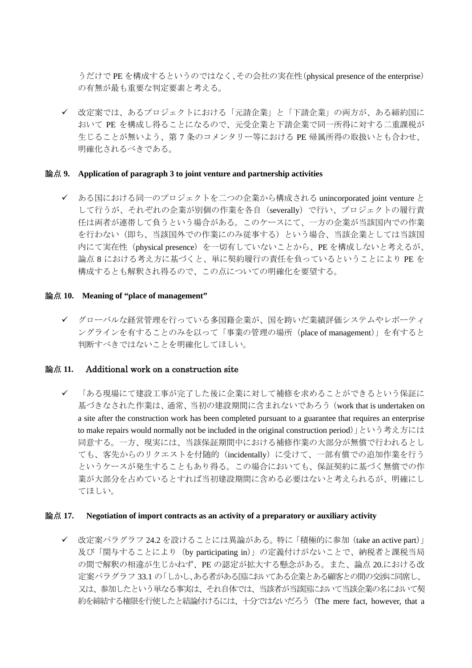うだけで PE を構成するというのではなく、その会社の実在性(physical presence of the enterprise) の有無が最も重要な判定要素と考える。

✔ 改定案では、あるプロジェクトにおける「元請企業」と「下請企業」の両方が、ある締約国に おいて PE を構成し得ることになるので、元受企業と下請企業で同一所得に対する二重課税が 生じることが無いよう、第 7 条のコメンタリー等における PE 帰属所得の取扱いとも合わせ、 明確化されるべきである。

#### 論点 **9. Application of paragraph 3 to joint venture and partnership activities**

✔ ある国における同一のプロジェクトを二つの企業から構成される unincorporated joint venture と して行うが、それぞれの企業が別個の作業を各自(severally)で行い、プロジェクトの履行責 任は両者が連帯して負うという場合がある。このケースにて、一方の企業が当該国内での作業 を行わない(即ち、当該国外での作業にのみ従事する)という場合、当該企業としては当該国 内にて実在性(physical presence)を一切有していないことから、PEを構成しないと考えるが、 論点 8 における考え方に基づくと、単に契約履行の責任を負っているということにより PE を 構成するとも解釈され得るので、この点についての明確化を要望する。

#### 論点 **10. Meaning of "place of management"**

✔ グローバルな経営管理を行っている多国籍企業が、国を跨いだ業績評価システムやレポーティ ングラインを有することのみを以って「事業の管理の場所(place of management)」を有すると 判断すべきではないことを明確化してほしい。

### 論点 **11.** Additional work on a construction site

✔ 「ある現場にて建設工事が完了した後に企業に対して補修を求めることができるという保証に 基づきなされた作業は、通常、当初の建設期間に含まれないであろう(work that is undertaken on a site after the construction work has been completed pursuant to a guarantee that requires an enterprise to make repairs would normally not be included in the original construction period)」という考え方には 同意する。一方、現実には、当該保証期間中における補修作業の大部分が無償で行われるとし ても、客先からのリクエストを付随的(incidentally)に受けて、一部有償での追加作業を行う というケースが発生することもあり得る。この場合においても、保証契約に基づく無償での作 業が大部分を占めているとすれば当初建設期間に含める必要はないと考えられるが、明確にし てほしい。

#### 論点 **17. Negotiation of import contracts as an activity of a preparatory or auxiliary activity**

✔ 改定案パラグラフ 24.2 を設けることには異論がある。特に「積極的に参加 (take an active part)」 及び「関与することにより(by participating in)」の定義付けがないことで、納税者と課税当局 の間で解釈の相違が生じかねず、PE の認定が拡大する懸念がある。また、論点 20.における改 定案パラグラフ 33.1 の「しかし、ある者がある国においてある企業とある顧客との間の交渉に同席し、 又は、参加したという単なる事実は、それ自体では、当該者が当該国において当該企業の名において契 約を締結する権限を行使したと結論付けるには、十分ではないだろう(The mere fact, however, that a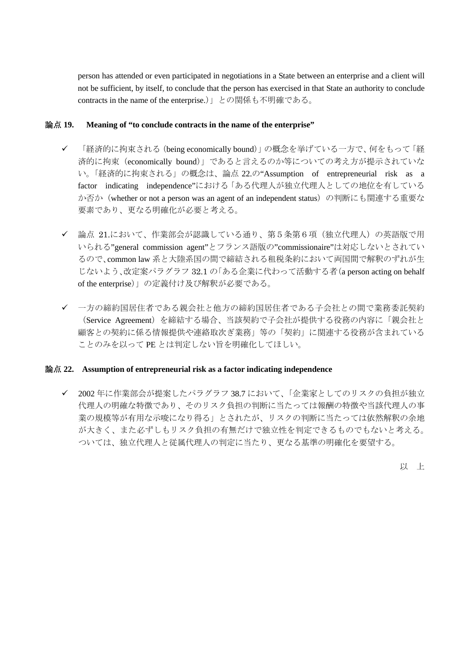person has attended or even participated in negotiations in a State between an enterprise and a client will not be sufficient, by itself, to conclude that the person has exercised in that State an authority to conclude contracts in the name of the enterprise.)」との関係も不明確である。

#### 論点 **19. Meaning of "to conclude contracts in the name of the enterprise"**

- ✔ 「経済的に拘束される (being economically bound)」の概念を挙げている一方で、何をもって「経 済的に拘束(economically bound)」であると言えるのか等についての考え方が提示されていな い。「経済的に拘束される」の概念は、論点 22.の"Assumption of entrepreneurial risk as a factor indicating independence"における「ある代理人が独立代理人としての地位を有している か否か(whether or not a person was an agent of an independent status)の判断にも関連する重要な 要素であり、更なる明確化が必要と考える。
- ✔ 論点 21.において、作業部会が認識している通り、第5条第6項(独立代理人)の英語版で用 いられる"general commission agent"とフランス語版の"commissionaire"は対応しないとされてい るので、common law 系と大陸系国の間で締結される租税条約において両国間で解釈のずれが生 じないよう、改定案パラグラフ 32.1 の「ある企業に代わって活動する者(a person acting on behalf of the enterprise)」の定義付け及び解釈が必要である。
- 9 一方の締約国居住者である親会社と他方の締約国居住者である子会社との間で業務委託契約 (Service Agreement)を締結する場合、当該契約で子会社が提供する役務の内容に「親会社と 顧客との契約に係る情報提供や連絡取次ぎ業務」等の「契約」に関連する役務が含まれている ことのみを以って PE とは判定しない旨を明確化してほしい。

### 論点 **22. Assumption of entrepreneurial risk as a factor indicating independence**

✔ 2002年に作業部会が提案したパラグラフ 38.7 において、「企業家としてのリスクの負担が独立 代理人の明確な特徴であり、そのリスク負担の判断に当たっては報酬の特徴や当該代理人の事 業の規模等が有用な示唆になり得る」とされたが、リスクの判断に当たっては依然解釈の余地 が大きく、また必ずしもリスク負担の有無だけで独立性を判定できるものでもないと考える。 ついては、独立代理人と従属代理人の判定に当たり、更なる基準の明確化を要望する。

以 上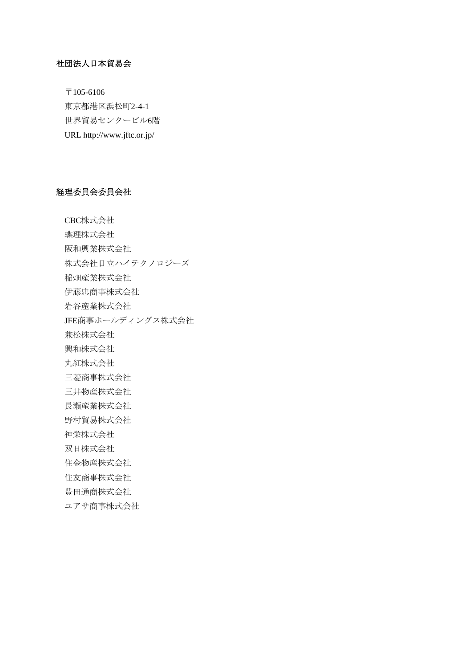### 社団法人日本貿易会

〒105-6106 東京都港区浜松町2-4-1 世界貿易センタービル6階 URL http://www.jftc.or.jp/

### 経理委員会委員会社

CBC株式会社 蝶理株式会社 阪和興業株式会社 株式会社日立ハイテクノロジーズ 稲畑産業株式会社 伊藤忠商事株式会社 岩谷産業株式会社 JFE商事ホールディングス株式会社 兼松株式会社 興和株式会社 丸紅株式会社 三菱商事株式会社 三井物産株式会社 長瀬産業株式会社 野村貿易株式会社 神栄株式会社 双日株式会社 住金物産株式会社 住友商事株式会社 豊田通商株式会社 ユアサ商事株式会社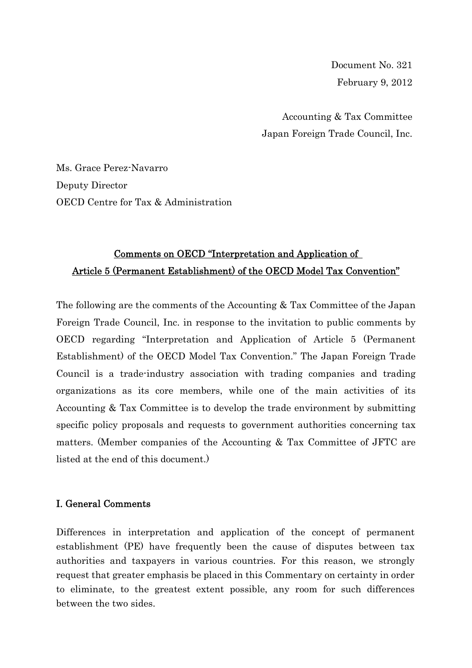Document No. 321 February 9, 2012

Accounting & Tax Committee Japan Foreign Trade Council, Inc.

Ms. Grace Perez-Navarro Deputy Director OECD Centre for Tax & Administration

# Comments on OECD "Interpretation and Application of Article 5 (Permanent Establishment) of the OECD Model Tax Convention"

The following are the comments of the Accounting & Tax Committee of the Japan Foreign Trade Council, Inc. in response to the invitation to public comments by OECD regarding "Interpretation and Application of Article 5 (Permanent Establishment) of the OECD Model Tax Convention." The Japan Foreign Trade Council is a trade-industry association with trading companies and trading organizations as its core members, while one of the main activities of its Accounting & Tax Committee is to develop the trade environment by submitting specific policy proposals and requests to government authorities concerning tax matters. (Member companies of the Accounting & Tax Committee of JFTC are listed at the end of this document.)

# I. General Comments

Differences in interpretation and application of the concept of permanent establishment (PE) have frequently been the cause of disputes between tax authorities and taxpayers in various countries. For this reason, we strongly request that greater emphasis be placed in this Commentary on certainty in order to eliminate, to the greatest extent possible, any room for such differences between the two sides.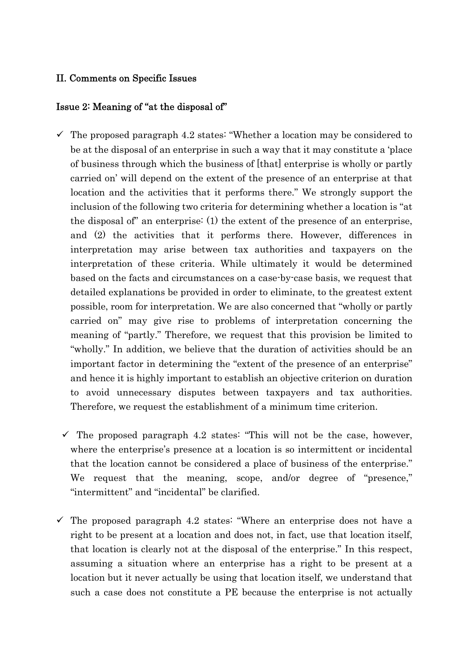# II. Comments on Specific Issues

# Issue 2: Meaning of "at the disposal of"

- $\checkmark$  The proposed paragraph 4.2 states: "Whether a location may be considered to be at the disposal of an enterprise in such a way that it may constitute a 'place of business through which the business of [that] enterprise is wholly or partly carried on' will depend on the extent of the presence of an enterprise at that location and the activities that it performs there." We strongly support the inclusion of the following two criteria for determining whether a location is "at the disposal of" an enterprise: (1) the extent of the presence of an enterprise, and (2) the activities that it performs there. However, differences in interpretation may arise between tax authorities and taxpayers on the interpretation of these criteria. While ultimately it would be determined based on the facts and circumstances on a case-by-case basis, we request that detailed explanations be provided in order to eliminate, to the greatest extent possible, room for interpretation. We are also concerned that "wholly or partly carried on" may give rise to problems of interpretation concerning the meaning of "partly." Therefore, we request that this provision be limited to "wholly." In addition, we believe that the duration of activities should be an important factor in determining the "extent of the presence of an enterprise" and hence it is highly important to establish an objective criterion on duration to avoid unnecessary disputes between taxpayers and tax authorities. Therefore, we request the establishment of a minimum time criterion.
- $\checkmark$  The proposed paragraph 4.2 states: "This will not be the case, however, where the enterprise's presence at a location is so intermittent or incidental that the location cannot be considered a place of business of the enterprise." We request that the meaning, scope, and/or degree of "presence," "intermittent" and "incidental" be clarified.
- $\checkmark$  The proposed paragraph 4.2 states: "Where an enterprise does not have a right to be present at a location and does not, in fact, use that location itself, that location is clearly not at the disposal of the enterprise." In this respect, assuming a situation where an enterprise has a right to be present at a location but it never actually be using that location itself, we understand that such a case does not constitute a PE because the enterprise is not actually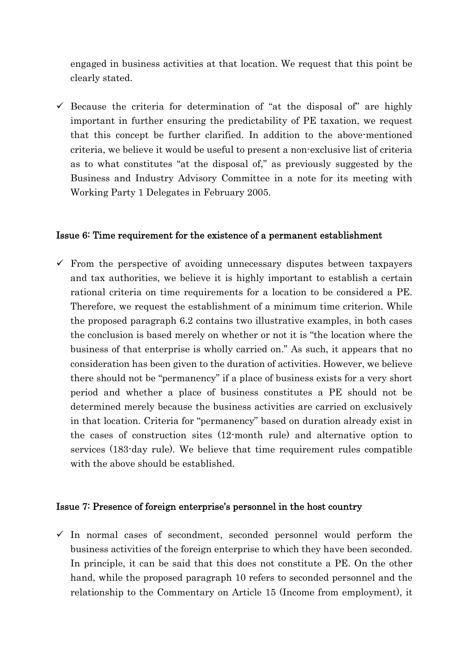engaged in business activities at that location. We request that this point be clearly stated.

 $\checkmark$  Because the criteria for determination of "at the disposal of" are highly important in further ensuring the predictability of PE taxation, we request that this concept be further clarified. In addition to the above-mentioned criteria, we believe it would be useful to present a non-exclusive list of criteria as to what constitutes "at the disposal of," as previously suggested by the Business and Industry Advisory Committee in a note for its meeting with Working Party 1 Delegates in February 2005.

### Issue 6: Time requirement for the existence of a permanent establishment

 $\checkmark$  From the perspective of avoiding unnecessary disputes between taxpayers and tax authorities, we believe it is highly important to establish a certain rational criteria on time requirements for a location to be considered a PE. Therefore, we request the establishment of a minimum time criterion. While the proposed paragraph 6.2 contains two illustrative examples, in both cases the conclusion is based merely on whether or not it is "the location where the business of that enterprise is wholly carried on." As such, it appears that no consideration has been given to the duration of activities. However, we believe there should not be "permanency" if a place of business exists for a very short period and whether a place of business constitutes a PE should not be determined merely because the business activities are carried on exclusively in that location. Criteria for "permanency" based on duration already exist in the cases of construction sites (12-month rule) and alternative option to services (183-day rule). We believe that time requirement rules compatible with the above should be established.

### Issue 7: Presence of foreign enterprise's personnel in the host country

 $\checkmark$  In normal cases of secondment, seconded personnel would perform the business activities of the foreign enterprise to which they have been seconded. In principle, it can be said that this does not constitute a PE. On the other hand, while the proposed paragraph 10 refers to seconded personnel and the relationship to the Commentary on Article 15 (Income from employment), it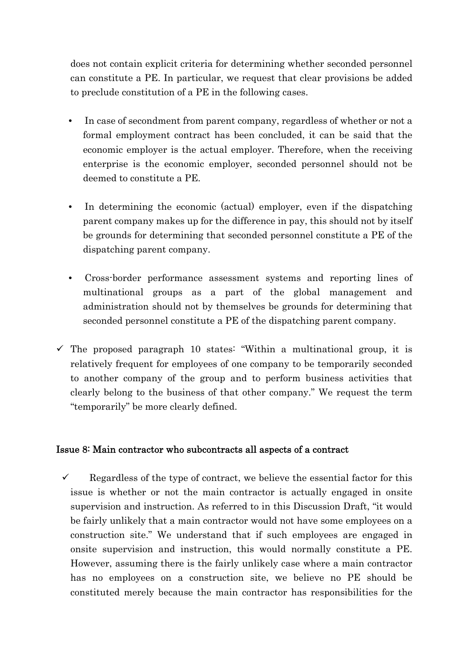does not contain explicit criteria for determining whether seconded personnel can constitute a PE. In particular, we request that clear provisions be added to preclude constitution of a PE in the following cases.

- In case of secondment from parent company, regardless of whether or not a formal employment contract has been concluded, it can be said that the economic employer is the actual employer. Therefore, when the receiving enterprise is the economic employer, seconded personnel should not be deemed to constitute a PE.
- In determining the economic (actual) employer, even if the dispatching parent company makes up for the difference in pay, this should not by itself be grounds for determining that seconded personnel constitute a PE of the dispatching parent company.
- Cross-border performance assessment systems and reporting lines of multinational groups as a part of the global management and administration should not by themselves be grounds for determining that seconded personnel constitute a PE of the dispatching parent company.
- $\checkmark$  The proposed paragraph 10 states: "Within a multinational group, it is relatively frequent for employees of one company to be temporarily seconded to another company of the group and to perform business activities that clearly belong to the business of that other company." We request the term "temporarily" be more clearly defined.

## Issue 8: Main contractor who subcontracts all aspects of a contract

 $\checkmark$  Regardless of the type of contract, we believe the essential factor for this issue is whether or not the main contractor is actually engaged in onsite supervision and instruction. As referred to in this Discussion Draft, "it would be fairly unlikely that a main contractor would not have some employees on a construction site." We understand that if such employees are engaged in onsite supervision and instruction, this would normally constitute a PE. However, assuming there is the fairly unlikely case where a main contractor has no employees on a construction site, we believe no PE should be constituted merely because the main contractor has responsibilities for the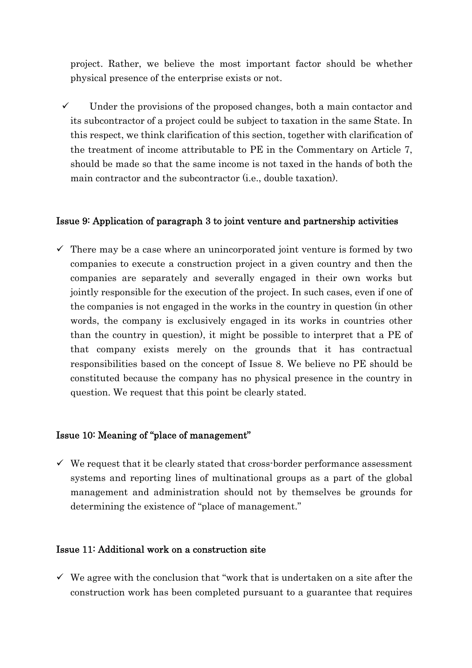project. Rather, we believe the most important factor should be whether physical presence of the enterprise exists or not.

 $\checkmark$  Under the provisions of the proposed changes, both a main contactor and its subcontractor of a project could be subject to taxation in the same State. In this respect, we think clarification of this section, together with clarification of the treatment of income attributable to PE in the Commentary on Article 7, should be made so that the same income is not taxed in the hands of both the main contractor and the subcontractor (i.e., double taxation).

# Issue 9: Application of paragraph 3 to joint venture and partnership activities

 $\checkmark$  There may be a case where an unincorporated joint venture is formed by two companies to execute a construction project in a given country and then the companies are separately and severally engaged in their own works but jointly responsible for the execution of the project. In such cases, even if one of the companies is not engaged in the works in the country in question (in other words, the company is exclusively engaged in its works in countries other than the country in question), it might be possible to interpret that a PE of that company exists merely on the grounds that it has contractual responsibilities based on the concept of Issue 8. We believe no PE should be constituted because the company has no physical presence in the country in question. We request that this point be clearly stated.

## Issue 10: Meaning of "place of management"

 $\checkmark$  We request that it be clearly stated that cross-border performance assessment systems and reporting lines of multinational groups as a part of the global management and administration should not by themselves be grounds for determining the existence of "place of management."

### Issue 11: Additional work on a construction site

 $\checkmark$  We agree with the conclusion that "work that is undertaken on a site after the construction work has been completed pursuant to a guarantee that requires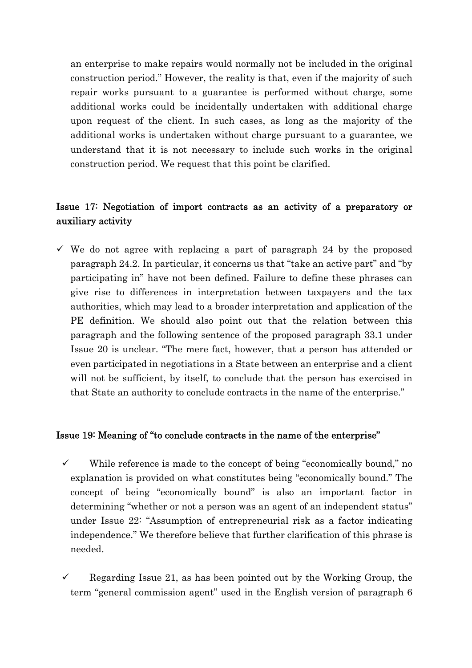an enterprise to make repairs would normally not be included in the original construction period." However, the reality is that, even if the majority of such repair works pursuant to a guarantee is performed without charge, some additional works could be incidentally undertaken with additional charge upon request of the client. In such cases, as long as the majority of the additional works is undertaken without charge pursuant to a guarantee, we understand that it is not necessary to include such works in the original construction period. We request that this point be clarified.

# Issue 17: Negotiation of import contracts as an activity of a preparatory or auxiliary activity

 $\checkmark$  We do not agree with replacing a part of paragraph 24 by the proposed paragraph 24.2. In particular, it concerns us that "take an active part" and "by participating in" have not been defined. Failure to define these phrases can give rise to differences in interpretation between taxpayers and the tax authorities, which may lead to a broader interpretation and application of the PE definition. We should also point out that the relation between this paragraph and the following sentence of the proposed paragraph 33.1 under Issue 20 is unclear. "The mere fact, however, that a person has attended or even participated in negotiations in a State between an enterprise and a client will not be sufficient, by itself, to conclude that the person has exercised in that State an authority to conclude contracts in the name of the enterprise."

## Issue 19: Meaning of "to conclude contracts in the name of the enterprise"

- $\checkmark$  While reference is made to the concept of being "economically bound," no explanation is provided on what constitutes being "economically bound." The concept of being "economically bound" is also an important factor in determining "whether or not a person was an agent of an independent status" under Issue 22: "Assumption of entrepreneurial risk as a factor indicating independence." We therefore believe that further clarification of this phrase is needed.
- $\checkmark$  Regarding Issue 21, as has been pointed out by the Working Group, the term "general commission agent" used in the English version of paragraph 6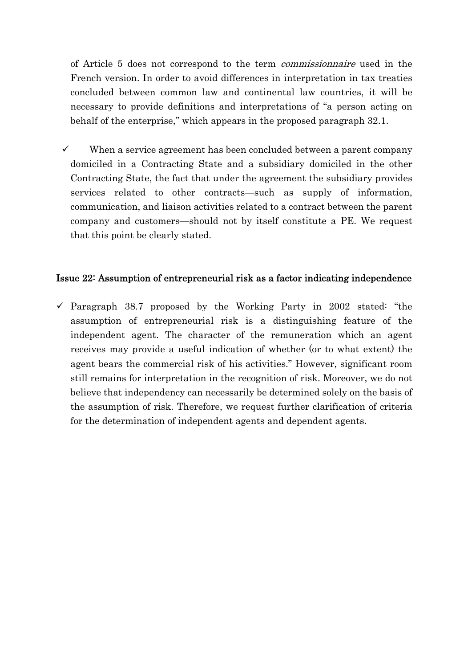of Article 5 does not correspond to the term commissionnaire used in the French version. In order to avoid differences in interpretation in tax treaties concluded between common law and continental law countries, it will be necessary to provide definitions and interpretations of "a person acting on behalf of the enterprise," which appears in the proposed paragraph 32.1.

When a service agreement has been concluded between a parent company domiciled in a Contracting State and a subsidiary domiciled in the other Contracting State, the fact that under the agreement the subsidiary provides services related to other contracts—such as supply of information, communication, and liaison activities related to a contract between the parent company and customers—should not by itself constitute a PE. We request that this point be clearly stated.

## Issue 22: Assumption of entrepreneurial risk as a factor indicating independence

 $\checkmark$  Paragraph 38.7 proposed by the Working Party in 2002 stated: "the assumption of entrepreneurial risk is a distinguishing feature of the independent agent. The character of the remuneration which an agent receives may provide a useful indication of whether (or to what extent) the agent bears the commercial risk of his activities." However, significant room still remains for interpretation in the recognition of risk. Moreover, we do not believe that independency can necessarily be determined solely on the basis of the assumption of risk. Therefore, we request further clarification of criteria for the determination of independent agents and dependent agents.